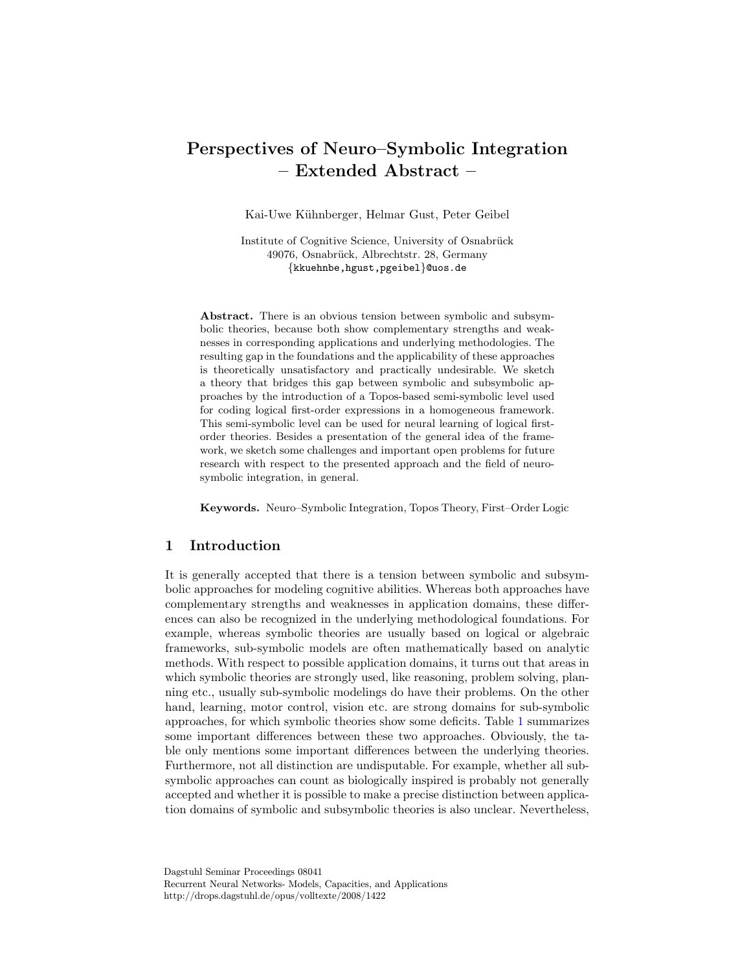# Perspectives of Neuro–Symbolic Integration – Extended Abstract –

Kai-Uwe Kühnberger, Helmar Gust, Peter Geibel

Institute of Cognitive Science, University of Osnabrück 49076, Osnabrück, Albrechtstr. 28, Germany {kkuehnbe,hgust,pgeibel}@uos.de

Abstract. There is an obvious tension between symbolic and subsymbolic theories, because both show complementary strengths and weaknesses in corresponding applications and underlying methodologies. The resulting gap in the foundations and the applicability of these approaches is theoretically unsatisfactory and practically undesirable. We sketch a theory that bridges this gap between symbolic and subsymbolic approaches by the introduction of a Topos-based semi-symbolic level used for coding logical first-order expressions in a homogeneous framework. This semi-symbolic level can be used for neural learning of logical firstorder theories. Besides a presentation of the general idea of the framework, we sketch some challenges and important open problems for future research with respect to the presented approach and the field of neurosymbolic integration, in general.

Keywords. Neuro–Symbolic Integration, Topos Theory, First–Order Logic

# 1 Introduction

It is generally accepted that there is a tension between symbolic and subsymbolic approaches for modeling cognitive abilities. Whereas both approaches have complementary strengths and weaknesses in application domains, these differences can also be recognized in the underlying methodological foundations. For example, whereas symbolic theories are usually based on logical or algebraic frameworks, sub-symbolic models are often mathematically based on analytic methods. With respect to possible application domains, it turns out that areas in which symbolic theories are strongly used, like reasoning, problem solving, planning etc., usually sub-symbolic modelings do have their problems. On the other hand, learning, motor control, vision etc. are strong domains for sub-symbolic approaches, for which symbolic theories show some deficits. Table [1](#page-1-0) summarizes some important differences between these two approaches. Obviously, the table only mentions some important differences between the underlying theories. Furthermore, not all distinction are undisputable. For example, whether all subsymbolic approaches can count as biologically inspired is probably not generally accepted and whether it is possible to make a precise distinction between application domains of symbolic and subsymbolic theories is also unclear. Nevertheless,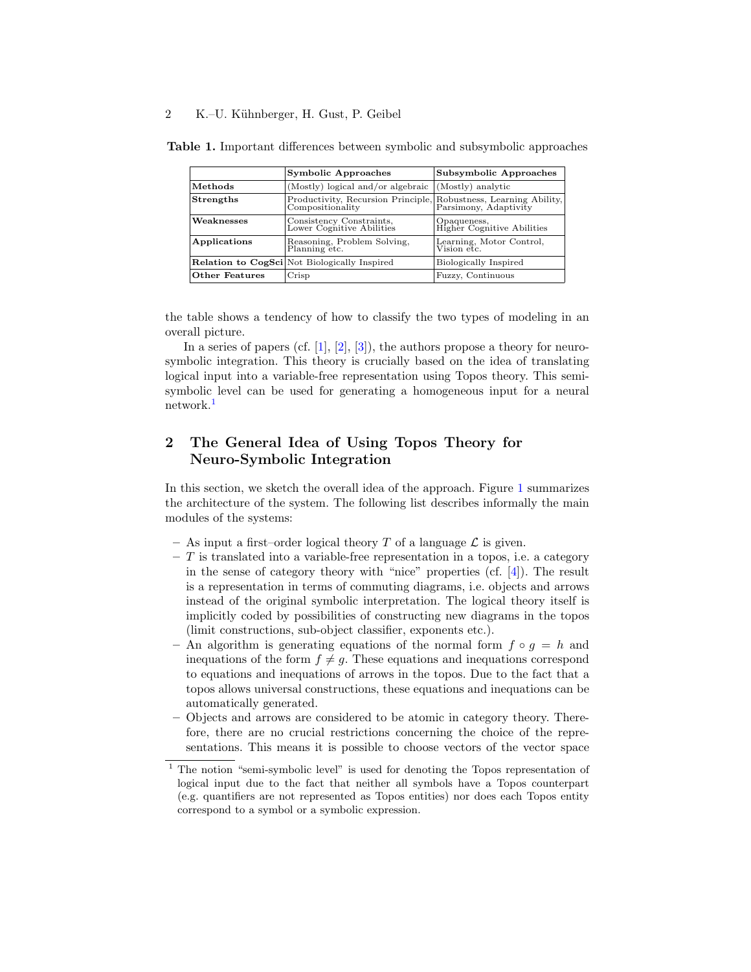#### 2 K.–U. Kühnberger, H. Gust, P. Geibel

<span id="page-1-0"></span>

|                | <b>Symbolic Approaches</b>                                                        | Subsymbolic Approaches                    |
|----------------|-----------------------------------------------------------------------------------|-------------------------------------------|
| Methods        | (Mostly) logical and/or algebraic                                                 | $(Mostly)$ analytic                       |
| Strengths      | Productivity, Recursion Principle, Robustness, Learning Ability, Compositionality |                                           |
| Weaknesses     | Consistency Constraints,<br>Lower Cognitive Abilities                             | Opaqueness,<br>Higher Cognitive Abilities |
| Applications   | Reasoning, Problem Solving,<br>Planning etc.                                      | Learning, Motor Control,<br>Vision etc.   |
|                | <b>Relation to CogSci</b> Not Biologically Inspired                               | Biologically Inspired                     |
| Other Features | Crisp                                                                             | Fuzzy, Continuous                         |

Table 1. Important differences between symbolic and subsymbolic approaches

the table shows a tendency of how to classify the two types of modeling in an overall picture.

In a series of papers (cf.  $[1], [2], [3]$  $[1], [2], [3]$  $[1], [2], [3]$  $[1], [2], [3]$  $[1], [2], [3]$ ), the authors propose a theory for neurosymbolic integration. This theory is crucially based on the idea of translating logical input into a variable-free representation using Topos theory. This semisymbolic level can be used for generating a homogeneous input for a neural network.[1](#page-1-1)

# 2 The General Idea of Using Topos Theory for Neuro-Symbolic Integration

In this section, we sketch the overall idea of the approach. Figure [1](#page-2-0) summarizes the architecture of the system. The following list describes informally the main modules of the systems:

- As input a first–order logical theory T of a language  $\mathcal L$  is given.
- $-$  T is translated into a variable-free representation in a topos, i.e. a category in the sense of category theory with "nice" properties (cf. [\[4\]](#page-5-3)). The result is a representation in terms of commuting diagrams, i.e. objects and arrows instead of the original symbolic interpretation. The logical theory itself is implicitly coded by possibilities of constructing new diagrams in the topos (limit constructions, sub-object classifier, exponents etc.).
- An algorithm is generating equations of the normal form  $f \circ q = h$  and inequations of the form  $f \neq g$ . These equations and inequations correspond to equations and inequations of arrows in the topos. Due to the fact that a topos allows universal constructions, these equations and inequations can be automatically generated.
- Objects and arrows are considered to be atomic in category theory. Therefore, there are no crucial restrictions concerning the choice of the representations. This means it is possible to choose vectors of the vector space

<span id="page-1-1"></span><sup>1</sup> The notion "semi-symbolic level" is used for denoting the Topos representation of logical input due to the fact that neither all symbols have a Topos counterpart (e.g. quantifiers are not represented as Topos entities) nor does each Topos entity correspond to a symbol or a symbolic expression.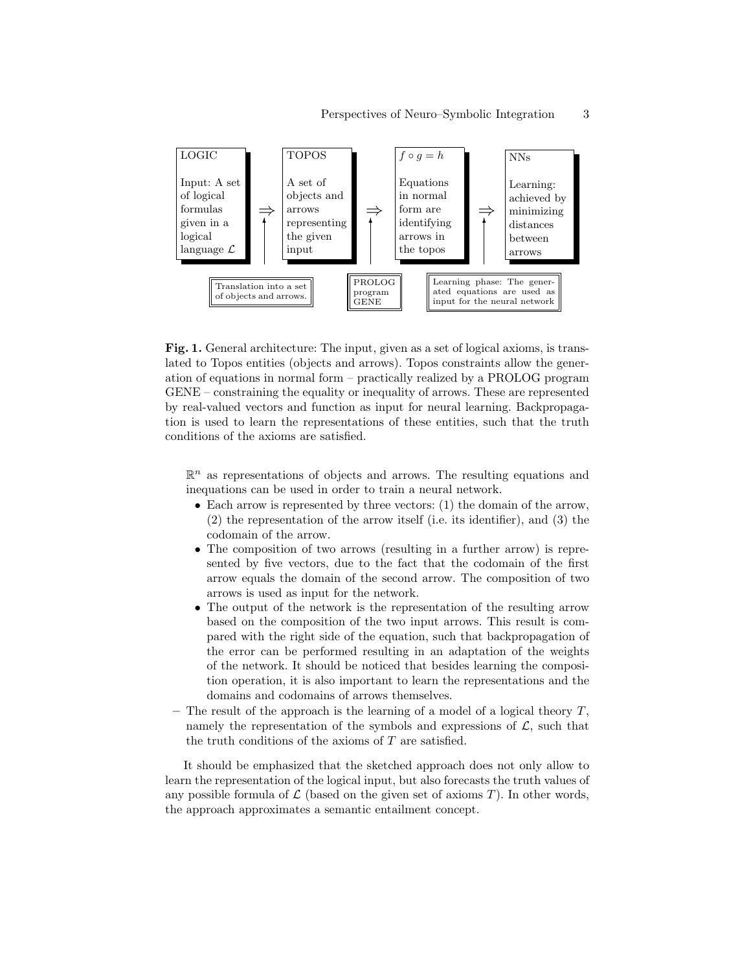

<span id="page-2-0"></span>Fig. 1. General architecture: The input, given as a set of logical axioms, is translated to Topos entities (objects and arrows). Topos constraints allow the generation of equations in normal form – practically realized by a PROLOG program GENE – constraining the equality or inequality of arrows. These are represented by real-valued vectors and function as input for neural learning. Backpropagation is used to learn the representations of these entities, such that the truth conditions of the axioms are satisfied.

 $\mathbb{R}^n$  as representations of objects and arrows. The resulting equations and inequations can be used in order to train a neural network.

- Each arrow is represented by three vectors: (1) the domain of the arrow, (2) the representation of the arrow itself (i.e. its identifier), and (3) the codomain of the arrow.
- The composition of two arrows (resulting in a further arrow) is represented by five vectors, due to the fact that the codomain of the first arrow equals the domain of the second arrow. The composition of two arrows is used as input for the network.
- The output of the network is the representation of the resulting arrow based on the composition of the two input arrows. This result is compared with the right side of the equation, such that backpropagation of the error can be performed resulting in an adaptation of the weights of the network. It should be noticed that besides learning the composition operation, it is also important to learn the representations and the domains and codomains of arrows themselves.
- The result of the approach is the learning of a model of a logical theory  $T$ , namely the representation of the symbols and expressions of  $\mathcal{L}$ , such that the truth conditions of the axioms of T are satisfied.

It should be emphasized that the sketched approach does not only allow to learn the representation of the logical input, but also forecasts the truth values of any possible formula of  $\mathcal L$  (based on the given set of axioms T). In other words, the approach approximates a semantic entailment concept.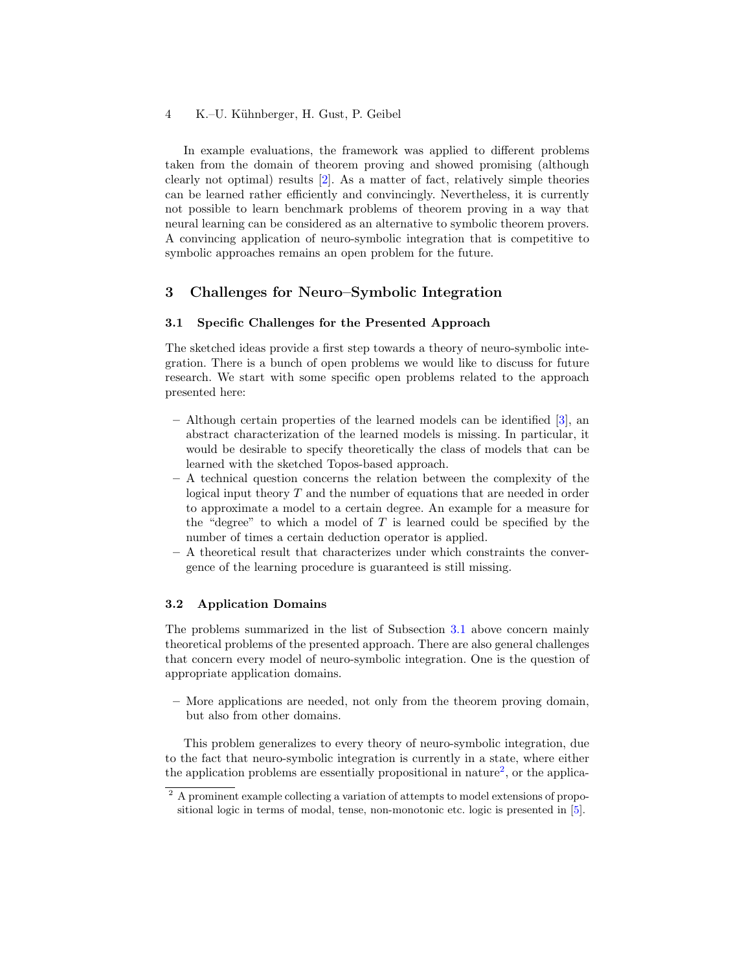## 4 K.–U. K¨uhnberger, H. Gust, P. Geibel

In example evaluations, the framework was applied to different problems taken from the domain of theorem proving and showed promising (although clearly not optimal) results [\[2\]](#page-5-1). As a matter of fact, relatively simple theories can be learned rather efficiently and convincingly. Nevertheless, it is currently not possible to learn benchmark problems of theorem proving in a way that neural learning can be considered as an alternative to symbolic theorem provers. A convincing application of neuro-symbolic integration that is competitive to symbolic approaches remains an open problem for the future.

# 3 Challenges for Neuro–Symbolic Integration

## <span id="page-3-0"></span>3.1 Specific Challenges for the Presented Approach

The sketched ideas provide a first step towards a theory of neuro-symbolic integration. There is a bunch of open problems we would like to discuss for future research. We start with some specific open problems related to the approach presented here:

- Although certain properties of the learned models can be identified [\[3\]](#page-5-2), an abstract characterization of the learned models is missing. In particular, it would be desirable to specify theoretically the class of models that can be learned with the sketched Topos-based approach.
- A technical question concerns the relation between the complexity of the logical input theory T and the number of equations that are needed in order to approximate a model to a certain degree. An example for a measure for the "degree" to which a model of  $T$  is learned could be specified by the number of times a certain deduction operator is applied.
- A theoretical result that characterizes under which constraints the convergence of the learning procedure is guaranteed is still missing.

## 3.2 Application Domains

The problems summarized in the list of Subsection [3.1](#page-3-0) above concern mainly theoretical problems of the presented approach. There are also general challenges that concern every model of neuro-symbolic integration. One is the question of appropriate application domains.

– More applications are needed, not only from the theorem proving domain, but also from other domains.

This problem generalizes to every theory of neuro-symbolic integration, due to the fact that neuro-symbolic integration is currently in a state, where either the application problems are essentially propositional in nature<sup>[2](#page-3-1)</sup>, or the applica-

<span id="page-3-1"></span><sup>&</sup>lt;sup>2</sup> A prominent example collecting a variation of attempts to model extensions of propositional logic in terms of modal, tense, non-monotonic etc. logic is presented in [\[5\]](#page-5-4).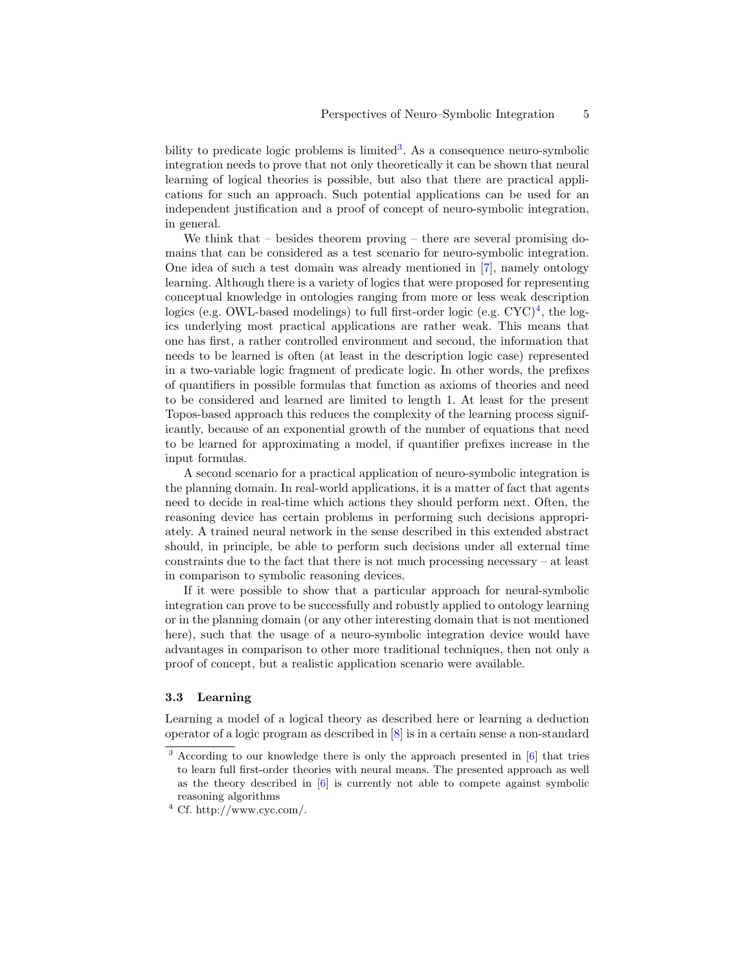bility to predicate logic problems is limited<sup>[3](#page-4-0)</sup>. As a consequence neuro-symbolic integration needs to prove that not only theoretically it can be shown that neural learning of logical theories is possible, but also that there are practical applications for such an approach. Such potential applications can be used for an independent justification and a proof of concept of neuro-symbolic integration, in general.

We think that – besides theorem proving – there are several promising domains that can be considered as a test scenario for neuro-symbolic integration. One idea of such a test domain was already mentioned in [\[7\]](#page-5-5), namely ontology learning. Although there is a variety of logics that were proposed for representing conceptual knowledge in ontologies ranging from more or less weak description logics (e.g. OWL-based modelings) to full first-order logic (e.g. CYC)<sup>[4](#page-4-1)</sup>, the logics underlying most practical applications are rather weak. This means that one has first, a rather controlled environment and second, the information that needs to be learned is often (at least in the description logic case) represented in a two-variable logic fragment of predicate logic. In other words, the prefixes of quantifiers in possible formulas that function as axioms of theories and need to be considered and learned are limited to length 1. At least for the present Topos-based approach this reduces the complexity of the learning process significantly, because of an exponential growth of the number of equations that need to be learned for approximating a model, if quantifier prefixes increase in the input formulas.

A second scenario for a practical application of neuro-symbolic integration is the planning domain. In real-world applications, it is a matter of fact that agents need to decide in real-time which actions they should perform next. Often, the reasoning device has certain problems in performing such decisions appropriately. A trained neural network in the sense described in this extended abstract should, in principle, be able to perform such decisions under all external time constraints due to the fact that there is not much processing necessary – at least in comparison to symbolic reasoning devices.

If it were possible to show that a particular approach for neural-symbolic integration can prove to be successfully and robustly applied to ontology learning or in the planning domain (or any other interesting domain that is not mentioned here), such that the usage of a neuro-symbolic integration device would have advantages in comparison to other more traditional techniques, then not only a proof of concept, but a realistic application scenario were available.

#### 3.3 Learning

Learning a model of a logical theory as described here or learning a deduction operator of a logic program as described in [\[8\]](#page-5-6) is in a certain sense a non-standard

<span id="page-4-0"></span><sup>&</sup>lt;sup>3</sup> According to our knowledge there is only the approach presented in [\[6\]](#page-5-7) that tries to learn full first-order theories with neural means. The presented approach as well as the theory described in [\[6\]](#page-5-7) is currently not able to compete against symbolic reasoning algorithms

<span id="page-4-1"></span><sup>4</sup> Cf. http://www.cyc.com/.